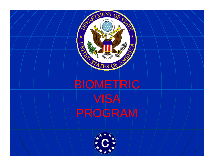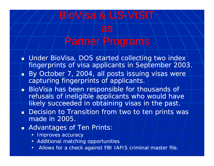## Partner Programs

BioVisa & US-VISIT

as

- $\blacklozenge$  Under BioVisa, DOS started collecting two index  $\blacklozenge$ fingerprints of visa applicants in September 2003.
- By October 7, 2004, all posts issuing visas were capturing fingerprints of applicants.
- **BioVisa has been responsible for thousands of** refusals of ineligible applicants who would have likely succeeded in obtaining visas in the past.
- **Decision to Transition from two to ten prints was** made in 2005.
- **Advantages of Ten Prints:** 
	- Improves accuracy
	- Additional matching opportunities
	- \ Allows for a check against FBI IAFIS criminal master file.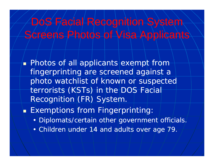## DoS Facial Recognition System Screens Photos of Visa Applicants

**• Photos of all applicants exempt from**fingerprinting are screened against a photo watchlist of known or suspected terrorists (KSTs) in the DOS Facial Recognition (FR) System.

 $\blacksquare$  Exemptions from Fingerprinting:

- Diplomats/certain other government officials,
- Children under 14 and adults over age 79.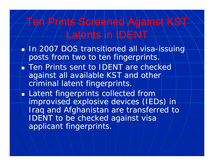## en Prints Screened Against KST Latents in IDENT

- $\blacktriangleright$ In/2007 DOS/transitioned all visa-issuing posts from two to ten fingerprints.
- Ten Prints sent to IDENT are checked against all available KST and other criminal latent fingerprints.
- **Latent fingerprints collected from** improvised explosive devices (IEDs) in Iraq and Afghanistan are transferred to IDENT to be checked against visa applicant fingerprints.